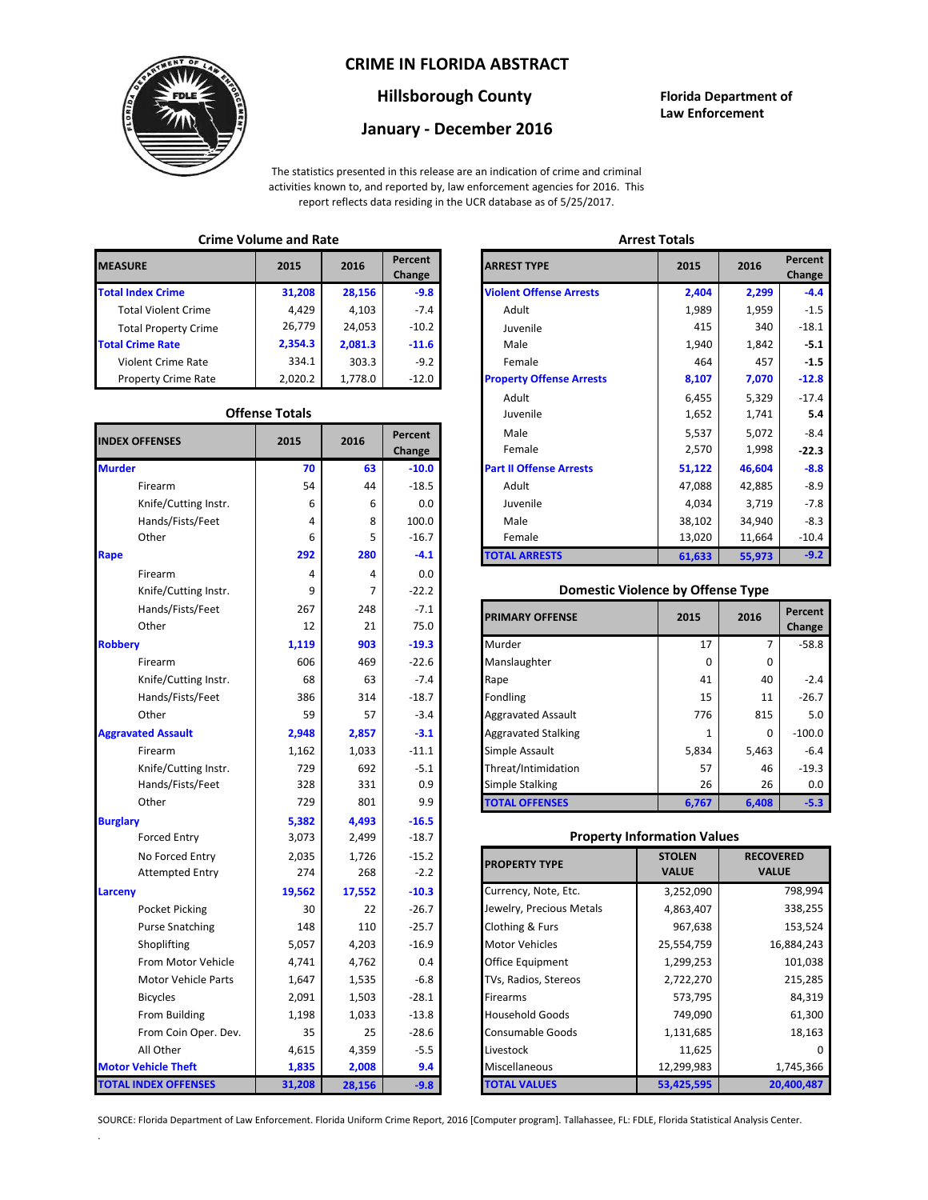### **CRIME IN FLORIDA ABSTRACT**



### **Hillsborough County Florida Department of**

# **January - December 2016**

**Law Enforcement**

The statistics presented in this release are an indication of crime and criminal activities known to, and reported by, law enforcement agencies for 2016. This report reflects data residing in the UCR database as of 5/25/2017.

### **Crime Volume and Rate Arrest Totals**

| <b>MEASURE</b>              | 2015    | 2016    | Percent<br>Change | <b>ARREST TYPE</b>             |
|-----------------------------|---------|---------|-------------------|--------------------------------|
| <b>Total Index Crime</b>    | 31,208  | 28,156  | $-9.8$            | <b>Violent Offense Arrests</b> |
| <b>Total Violent Crime</b>  | 4.429   | 4,103   | $-7.4$            | Adult                          |
| <b>Total Property Crime</b> | 26,779  | 24,053  | $-10.2$           | Juvenile                       |
| <b>Total Crime Rate</b>     | 2,354.3 | 2,081.3 | $-11.6$           | Male                           |
| <b>Violent Crime Rate</b>   | 334.1   | 303.3   | $-9.2$            | Female                         |
| <b>Property Crime Rate</b>  | 2,020.2 | 1.778.0 | $-12.0$           | <b>Property Offense Arrest</b> |

#### **Offense Totals**

| <b>INDEX OFFENSES</b>       | 2015   | 2016   | Percent<br>Change | Male<br>Female                           | 5,537<br>2,570                     | 5,072<br>1,998   |            |
|-----------------------------|--------|--------|-------------------|------------------------------------------|------------------------------------|------------------|------------|
| <b>Murder</b>               | 70     | 63     | $-10.0$           | <b>Part II Offense Arrests</b>           | 51,122                             | 46,604           | $-8.8$     |
| Firearm                     | 54     | 44     | $-18.5$           | Adult                                    | 47,088                             | 42,885           | $-8.9$     |
| Knife/Cutting Instr.        | 6      | 6      | 0.0               | Juvenile                                 | 4,034                              | 3,719            | $-7.8$     |
| Hands/Fists/Feet            | 4      | 8      | 100.0             | Male                                     | 38,102                             | 34,940           | $-8.3$     |
| Other                       | 6      | 5      | $-16.7$           | Female                                   | 13,020                             | 11,664           | $-10.4$    |
| Rape                        | 292    | 280    | $-4.1$            | <b>TOTAL ARRESTS</b>                     | 61,633                             | 55,973           | $-9.2$     |
| Firearm                     | 4      | 4      | 0.0               |                                          |                                    |                  |            |
| Knife/Cutting Instr.        | 9      | 7      | $-22.2$           | <b>Domestic Violence by Offense Type</b> |                                    |                  |            |
| Hands/Fists/Feet            | 267    | 248    | $-7.1$            | <b>PRIMARY OFFENSE</b>                   | 2015                               | 2016             | Percent    |
| Other                       | 12     | 21     | 75.0              |                                          |                                    |                  | Change     |
| <b>Robbery</b>              | 1,119  | 903    | $-19.3$           | Murder                                   | 17                                 | $\overline{7}$   | $-58.8$    |
| Firearm                     | 606    | 469    | $-22.6$           | Manslaughter                             | $\mathbf 0$                        | $\mathbf{0}$     |            |
| Knife/Cutting Instr.        | 68     | 63     | $-7.4$            | Rape                                     | 41                                 | 40               | $-2.4$     |
| Hands/Fists/Feet            | 386    | 314    | $-18.7$           | Fondling                                 | 15                                 | 11               | $-26.7$    |
| Other                       | 59     | 57     | $-3.4$            | <b>Aggravated Assault</b>                | 776                                | 815              | 5.0        |
| <b>Aggravated Assault</b>   | 2,948  | 2,857  | $-3.1$            | <b>Aggravated Stalking</b>               | 1                                  | $\mathbf 0$      | $-100.0$   |
| Firearm                     | 1,162  | 1,033  | $-11.1$           | Simple Assault                           | 5,834                              | 5,463            | $-6.4$     |
| Knife/Cutting Instr.        | 729    | 692    | $-5.1$            | Threat/Intimidation                      | 57                                 | 46               | $-19.3$    |
| Hands/Fists/Feet            | 328    | 331    | 0.9               | <b>Simple Stalking</b>                   | 26                                 | 26               | 0.0        |
| Other                       | 729    | 801    | 9.9               | <b>TOTAL OFFENSES</b>                    | 6,767                              | 6,408            | $-5.3$     |
| <b>Burglary</b>             | 5,382  | 4,493  | $-16.5$           |                                          |                                    |                  |            |
| <b>Forced Entry</b>         | 3,073  | 2,499  | $-18.7$           |                                          | <b>Property Information Values</b> |                  |            |
| No Forced Entry             | 2,035  | 1,726  | $-15.2$           | <b>PROPERTY TYPE</b>                     | <b>STOLEN</b>                      | <b>RECOVERED</b> |            |
| <b>Attempted Entry</b>      | 274    | 268    | $-2.2$            |                                          | <b>VALUE</b>                       | <b>VALUE</b>     |            |
| Larceny                     | 19,562 | 17,552 | $-10.3$           | Currency, Note, Etc.                     | 3,252,090                          |                  | 798,994    |
| Pocket Picking              | 30     | 22     | $-26.7$           | Jewelry, Precious Metals                 | 4,863,407                          |                  | 338,255    |
| <b>Purse Snatching</b>      | 148    | 110    | $-25.7$           | Clothing & Furs                          | 967,638                            |                  | 153,524    |
| Shoplifting                 | 5,057  | 4,203  | $-16.9$           | Motor Vehicles                           | 25,554,759                         |                  | 16,884,243 |
| From Motor Vehicle          | 4,741  | 4,762  | 0.4               | Office Equipment                         | 1,299,253                          |                  | 101,038    |
| Motor Vehicle Parts         | 1,647  | 1,535  | $-6.8$            | TVs, Radios, Stereos                     | 2,722,270                          |                  | 215,285    |
| <b>Bicycles</b>             | 2,091  | 1,503  | $-28.1$           | Firearms                                 | 573,795                            |                  | 84,319     |
| From Building               | 1,198  | 1,033  | $-13.8$           | <b>Household Goods</b>                   | 749,090                            | 61,300           |            |
| From Coin Oper. Dev.        | 35     | 25     | $-28.6$           | Consumable Goods                         | 1,131,685                          |                  | 18,163     |
| All Other                   | 4,615  | 4,359  | $-5.5$            | Livestock                                | 11,625                             |                  |            |
| <b>Motor Vehicle Theft</b>  | 1,835  | 2,008  | 9.4               | Miscellaneous                            | 12,299,983                         |                  | 1,745,366  |
| <b>TOTAL INDEX OFFENSES</b> | 31,208 | 28,156 | $-9.8$            | <b>TOTAL VALUES</b>                      | 53,425,595                         |                  | 20,400,487 |

.

| RΕ                   | 2015                  | 2016    | Percent<br>Change | <b>ARREST TYPE</b>              | 2015   | 2016   |  |  |
|----------------------|-----------------------|---------|-------------------|---------------------------------|--------|--------|--|--|
| dex Crime            | 31,208                | 28,156  | $-9.8$            | <b>Violent Offense Arrests</b>  | 2,404  | 2,299  |  |  |
| Il Violent Crime     | 4,429                 | 4,103   | $-7.4$            | Adult                           | 1,989  | 1,959  |  |  |
| Il Property Crime    | 26,779                | 24,053  | $-10.2$           | Juvenile                        | 415    | 340    |  |  |
| me Rate              | 2,354.3               | 2,081.3 | $-11.6$           | Male                            | 1,940  | 1,842  |  |  |
| ent Crime Rate       | 334.1                 | 303.3   | $-9.2$            | Female                          | 464    | 457    |  |  |
| erty Crime Rate      | 2,020.2               | 1,778.0 | $-12.0$           | <b>Property Offense Arrests</b> | 8,107  | 7,070  |  |  |
|                      |                       |         |                   | Adult                           | 6,455  | 5,329  |  |  |
|                      | <b>Offense Totals</b> |         |                   | Juvenile                        | 1,652  | 1,741  |  |  |
| <b>FFENSES</b>       | 2015                  | 2016    | Percent           | Male                            | 5,537  | 5,072  |  |  |
|                      |                       |         | Change            | Female                          | 2,570  | 1,998  |  |  |
|                      | 70                    | 63      | $-10.0$           | <b>Part II Offense Arrests</b>  | 51,122 | 46,604 |  |  |
| Firearm              | 54                    | 44      | $-18.5$           | Adult                           | 47,088 | 42,885 |  |  |
| Knife/Cutting Instr. | 6                     | 6       | 0.0               | Juvenile                        | 4,034  | 3,719  |  |  |
| Hands/Fists/Feet     | 4                     | 8       | 100.0             | Male                            | 38,102 | 34,940 |  |  |
| Other                | 6                     | 5       | $-16.7$           | Female                          | 13,020 | 11,664 |  |  |
|                      | 292                   | 280     | $-4.1$            | <b>TOTAL ARRESTS</b>            | 61,633 | 55,973 |  |  |
|                      |                       |         |                   |                                 |        |        |  |  |

### 9 **Domestic Violence by Offense Type**

| Hands/Fists/Feet<br>Other | 267<br>12 | 248<br>21 | $-7.1$<br>75.0 | <b>PRIMARY OFFENSE</b>     | 2015         | 2016  | Percent<br>Change |
|---------------------------|-----------|-----------|----------------|----------------------------|--------------|-------|-------------------|
|                           | 1,119     | 903       | $-19.3$        | Murder                     | 17           |       | $-58.8$           |
| Firearm                   | 606       | 469       | $-22.6$        | Manslaughter               | <sup>0</sup> | 0     |                   |
| Knife/Cutting Instr.      | 68        | 63        | $-7.4$         | Rape                       | 41           | 40    | $-2.4$            |
| Hands/Fists/Feet          | 386       | 314       | $-18.7$        | <b>Fondling</b>            | 15           | 11    | $-26.7$           |
| Other                     | 59        | 57        | $-3.4$         | <b>Aggravated Assault</b>  | 776          | 815   | 5.0               |
| ted Assault               | 2,948     | 2,857     | $-3.1$         | <b>Aggravated Stalking</b> |              | 0     | $-100.0$          |
| Firearm                   | 1,162     | 1,033     | $-11.1$        | Simple Assault             | 5,834        | 5,463 | $-6.4$            |
| Knife/Cutting Instr.      | 729       | 692       | $-5.1$         | Threat/Intimidation        | 57           | 46    | $-19.3$           |
| Hands/Fists/Feet          | 328       | 331       | 0.9            | <b>Simple Stalking</b>     | 26           | 26    | 0.0               |
| Other                     | 729       | 801       | 9.9            | <b>TOTAL OFFENSES</b>      | 6,767        | 6,408 | $-5.3$            |

### 3,073 **Property Information Values**

| 2,035  | 1,726  | $-15.2$ | <b>PROPERTY TYPE</b>     | <b>STOLEN</b> | <b>RECOVERED</b> |
|--------|--------|---------|--------------------------|---------------|------------------|
| 274    | 268    | $-2.2$  |                          | <b>VALUE</b>  | <b>VALUE</b>     |
| 19,562 | 17,552 | $-10.3$ | Currency, Note, Etc.     | 3,252,090     | 798,994          |
| 30     | 22     | $-26.7$ | Jewelry, Precious Metals | 4,863,407     | 338,255          |
| 148    | 110    | $-25.7$ | Clothing & Furs          | 967,638       | 153,524          |
| 5,057  | 4,203  | $-16.9$ | <b>Motor Vehicles</b>    | 25,554,759    | 16,884,243       |
| 4,741  | 4,762  | 0.4     | Office Equipment         | 1,299,253     | 101,038          |
| 1,647  | 1,535  | $-6.8$  | TVs, Radios, Stereos     | 2,722,270     | 215,285          |
| 2,091  | 1,503  | $-28.1$ | <b>Firearms</b>          | 573,795       | 84,319           |
| 1,198  | 1,033  | $-13.8$ | <b>Household Goods</b>   | 749,090       | 61,300           |
| 35     | 25     | $-28.6$ | <b>Consumable Goods</b>  | 1,131,685     | 18,163           |
| 4,615  | 4,359  | $-5.5$  | Livestock                | 11,625        |                  |
| 1,835  | 2,008  | 9.4     | Miscellaneous            | 12,299,983    | 1,745,366        |
| 31,208 | 28,156 | $-9.8$  | <b>TOTAL VALUES</b>      | 53,425,595    | 20,400,487       |

SOURCE: Florida Department of Law Enforcement. Florida Uniform Crime Report, 2016 [Computer program]. Tallahassee, FL: FDLE, Florida Statistical Analysis Center.